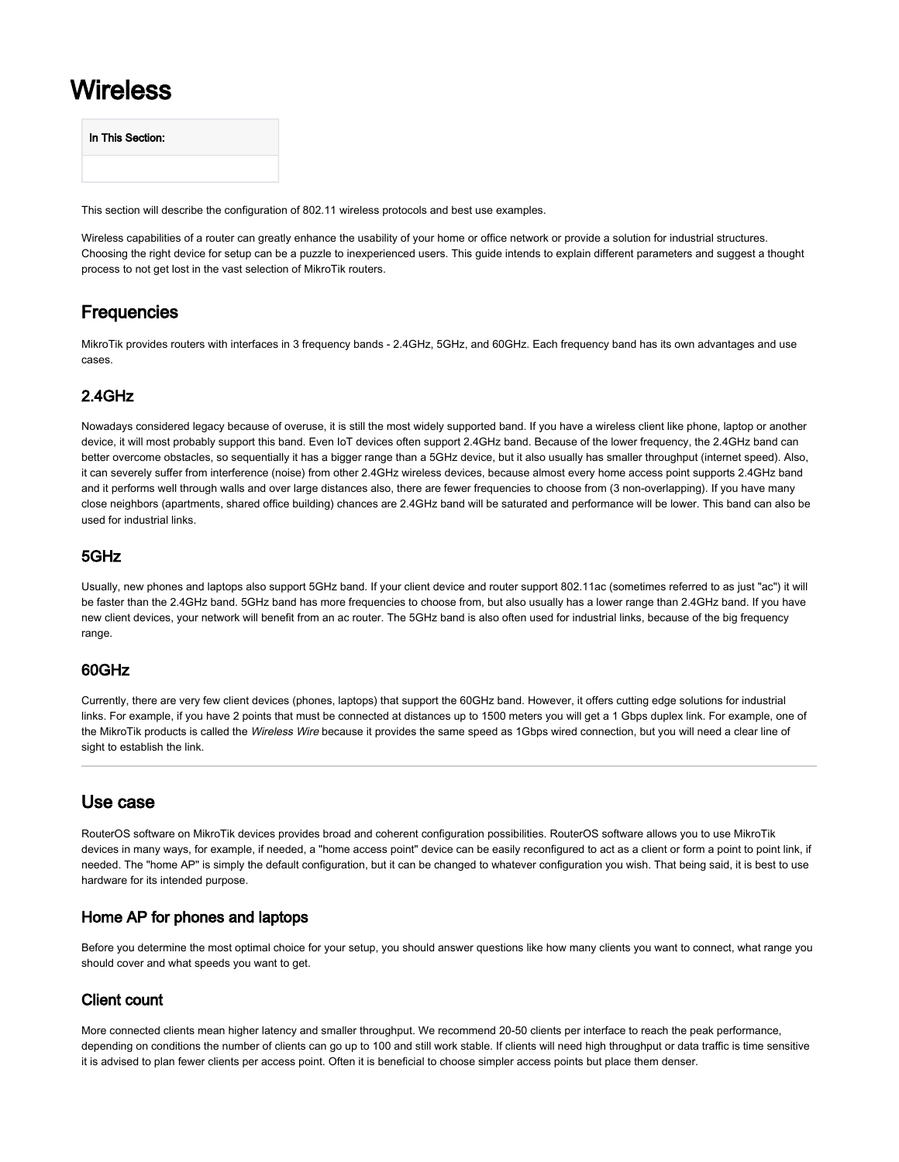# Wireless

| In This Section: |  |
|------------------|--|
|                  |  |

This section will describe the configuration of 802.11 wireless protocols and best use examples.

Wireless capabilities of a router can greatly enhance the usability of your home or office network or provide a solution for industrial structures. Choosing the right device for setup can be a puzzle to inexperienced users. This guide intends to explain different parameters and suggest a thought process to not get lost in the vast selection of MikroTik routers.

# **Frequencies**

MikroTik provides routers with interfaces in 3 frequency bands - 2.4GHz, 5GHz, and 60GHz. Each frequency band has its own advantages and use cases.

# 2.4GHz

Nowadays considered legacy because of overuse, it is still the most widely supported band. If you have a wireless client like phone, laptop or another device, it will most probably support this band. Even IoT devices often support 2.4GHz band. Because of the lower frequency, the 2.4GHz band can better overcome obstacles, so sequentially it has a bigger range than a 5GHz device, but it also usually has smaller throughput (internet speed). Also, it can severely suffer from interference (noise) from other 2.4GHz wireless devices, because almost every home access point supports 2.4GHz band and it performs well through walls and over large distances also, there are fewer frequencies to choose from (3 non-overlapping). If you have many close neighbors (apartments, shared office building) chances are 2.4GHz band will be saturated and performance will be lower. This band can also be used for industrial links.

## 5GHz

Usually, new phones and laptops also support 5GHz band. If your client device and router support 802.11ac (sometimes referred to as just "ac") it will be faster than the 2.4GHz band. 5GHz band has more frequencies to choose from, but also usually has a lower range than 2.4GHz band. If you have new client devices, your network will benefit from an ac router. The 5GHz band is also often used for industrial links, because of the big frequency range.

## 60GHz

Currently, there are very few client devices (phones, laptops) that support the 60GHz band. However, it offers cutting edge solutions for industrial links. For example, if you have 2 points that must be connected at distances up to 1500 meters you will get a 1 Gbps duplex link. For example, one of the MikroTik products is called the Wireless Wire because it provides the same speed as 1Gbps wired connection, but you will need a clear line of sight to establish the link.

# Use case

RouterOS software on MikroTik devices provides broad and coherent configuration possibilities. RouterOS software allows you to use MikroTik devices in many ways, for example, if needed, a "home access point" device can be easily reconfigured to act as a client or form a point to point link, if needed. The "home AP" is simply the default configuration, but it can be changed to whatever configuration you wish. That being said, it is best to use hardware for its intended purpose.

## Home AP for phones and laptops

Before you determine the most optimal choice for your setup, you should answer questions like how many clients you want to connect, what range you should cover and what speeds you want to get.

# Client count

More connected clients mean higher latency and smaller throughput. We recommend 20-50 clients per interface to reach the peak performance, depending on conditions the number of clients can go up to 100 and still work stable. If clients will need high throughput or data traffic is time sensitive it is advised to plan fewer clients per access point. Often it is beneficial to choose simpler access points but place them denser.